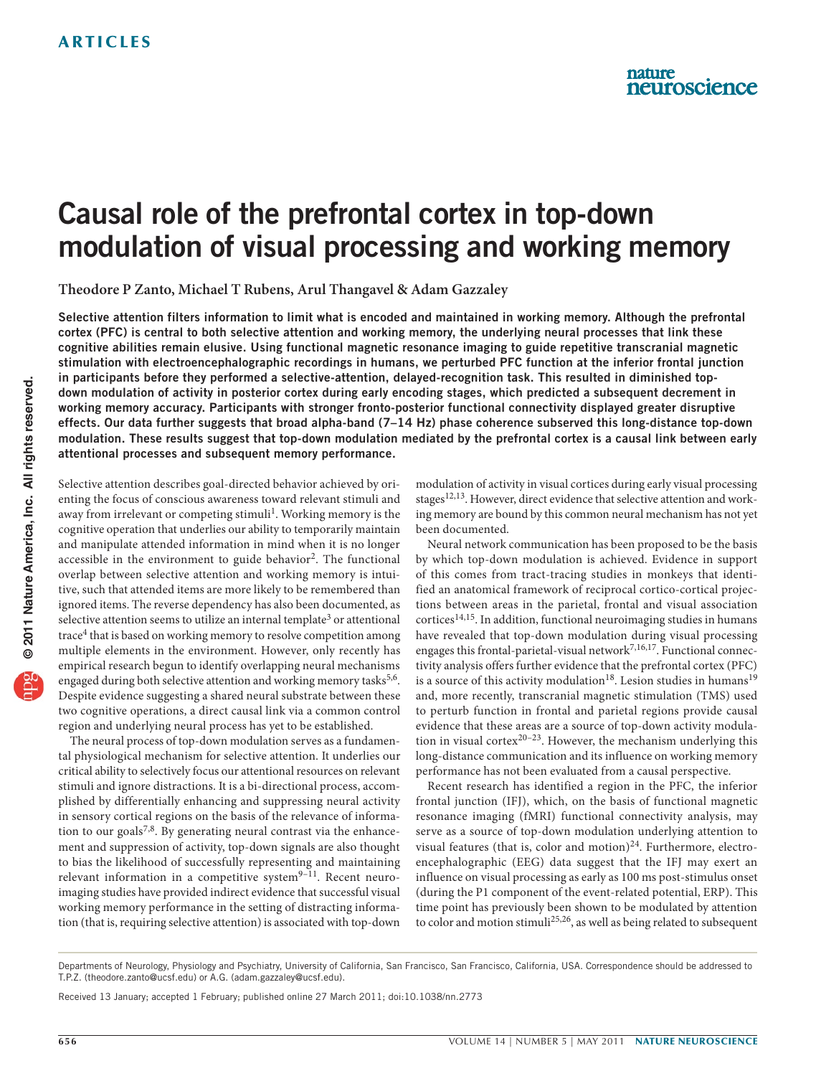# Causal role of the prefrontal cortex in top-down modulation of visual processing and working memory

**Theodore P Zanto, Michael T Rubens, Arul Thangavel & Adam Gazzaley**

Selective attention filters information to limit what is encoded and maintained in working memory. Although the prefrontal cortex (PFC) is central to both selective attention and working memory, the underlying neural processes that link these cognitive abilities remain elusive. Using functional magnetic resonance imaging to guide repetitive transcranial magnetic stimulation with electroencephalographic recordings in humans, we perturbed PFC function at the inferior frontal junction in participants before they performed a selective-attention, delayed-recognition task. This resulted in diminished topdown modulation of activity in posterior cortex during early encoding stages, which predicted a subsequent decrement in working memory accuracy. Participants with stronger fronto-posterior functional connectivity displayed greater disruptive effects. Our data further suggests that broad alpha-band (7–14 Hz) phase coherence subserved this long-distance top-down modulation. These results suggest that top-down modulation mediated by the prefrontal cortex is a causal link between early attentional processes and subsequent memory performance.

Selective attention describes goal-directed behavior achieved by orienting the focus of conscious awareness toward relevant stimuli and away from irrelevant or competing stimuli<sup>1</sup>. Working memory is the cognitive operation that underlies our ability to temporarily maintain and manipulate attended information in mind when it is no longer accessible in the environment to guide behavior<sup>2</sup>. The functional overlap between selective attention and working memory is intuitive, such that attended items are more likely to be remembered than ignored items. The reverse dependency has also been documented, as selective attention seems to utilize an internal template<sup>[3](#page-5-2)</sup> or attentional trace<sup>4</sup> that is based on working memory to resolve competition among multiple elements in the environment. However, only recently has empirical research begun to identify overlapping neural mechanisms engaged during both selective attention and working memory tasks<sup>5,6</sup>. Despite evidence suggesting a shared neural substrate between these two cognitive operations, a direct causal link via a common control region and underlying neural process has yet to be established.

The neural process of top-down modulation serves as a fundamental physiological mechanism for selective attention. It underlies our critical ability to selectively focus our attentional resources on relevant stimuli and ignore distractions. It is a bi-directional process, accomplished by differentially enhancing and suppressing neural activity in sensory cortical regions on the basis of the relevance of information to our goals<sup>7,8</sup>. By generating neural contrast via the enhancement and suppression of activity, top-down signals are also thought to bias the likelihood of successfully representing and maintaining relevant information in a competitive system $9-11$ . Recent neuroimaging studies have provided indirect evidence that successful visual working memory performance in the setting of distracting information (that is, requiring selective attention) is associated with top-down

modulation of activity in visual cortices during early visual processing stages<sup>12,13</sup>. However, direct evidence that selective attention and working memory are bound by this common neural mechanism has not yet been documented.

Neural network communication has been proposed to be the basis by which top-down modulation is achieved. Evidence in support of this comes from tract-tracing studies in monkeys that identified an anatomical framework of reciprocal cortico-cortical projections between areas in the parietal, frontal and visual association  $cortices<sup>14,15</sup>$ . In addition, functional neuroimaging studies in humans have revealed that top-down modulation during visual processing engages this frontal-parietal-visual network<sup>7,16,17</sup>. Functional connectivity analysis offers further evidence that the prefrontal cortex (PFC) is a source of this activity modulation<sup>[18](#page-5-4)</sup>. Lesion studies in humans<sup>[19](#page-5-5)</sup> and, more recently, transcranial magnetic stimulation (TMS) used to perturb function in frontal and parietal regions provide causal evidence that these areas are a source of top-down activity modulation in visual cortex $20-23$ . However, the mechanism underlying this long-distance communication and its influence on working memory performance has not been evaluated from a causal perspective.

Recent research has identified a region in the PFC, the inferior frontal junction (IFJ), which, on the basis of functional magnetic resonance imaging (fMRI) functional connectivity analysis, may serve as a source of top-down modulation underlying attention to visual features (that is, color and motion) $24$ . Furthermore, electroencephalographic (EEG) data suggest that the IFJ may exert an influence on visual processing as early as 100 ms post-stimulus onset (during the P1 component of the event-related potential, ERP). This time point has previously been shown to be modulated by attention to color and motion stimuli<sup>25,26</sup>, as well as being related to subsequent

Received 13 January; accepted 1 February; published online 27 March 2011; [doi:10.1038/nn.2773](http://www.nature.com/doifinder/10.1038/nn.2773)

Departments of Neurology, Physiology and Psychiatry, University of California, San Francisco, San Francisco, California, USA. Correspondence should be addressed to T.P.Z. (theodore.zanto@ucsf.edu) or A.G. (adam.gazzaley@ucsf.edu).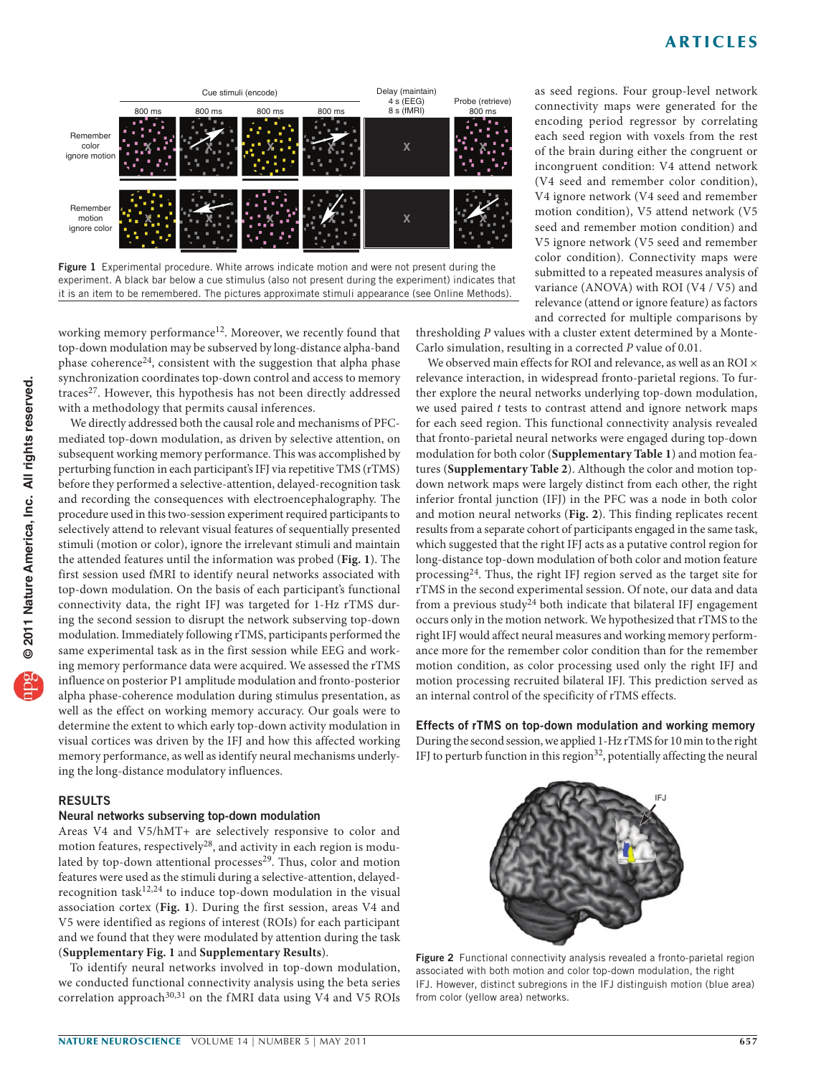### **ARTICLES**



<span id="page-1-0"></span>Figure 1 Experimental procedure. White arrows indicate motion and were not present during the experiment. A black bar below a cue stimulus (also not present during the experiment) indicates that it is an item to be remembered. The pictures approximate stimuli appearance (see Online Methods).

working memory performance<sup>12</sup>. Moreover, we recently found that top-down modulation may be subserved by long-distance alpha-band phase coherence<sup>24</sup>, consistent with the suggestion that alpha phase synchronization coordinates top-down control and access to memory traces<sup>27</sup>. However, this hypothesis has not been directly addressed with a methodology that permits causal inferences.

We directly addressed both the causal role and mechanisms of PFCmediated top-down modulation, as driven by selective attention, on subsequent working memory performance. This was accomplished by perturbing function in each participant's IFJ via repetitive TMS (rTMS) before they performed a selective-attention, delayed-recognition task and recording the consequences with electroencephalography. The procedure used in this two-session experiment required participants to selectively attend to relevant visual features of sequentially presented stimuli (motion or color), ignore the irrelevant stimuli and maintain the attended features until the information was probed (**[Fig. 1](#page-1-0)**). The first session used fMRI to identify neural networks associated with top-down modulation. On the basis of each participant's functional connectivity data, the right IFJ was targeted for 1-Hz rTMS during the second session to disrupt the network subserving top-down modulation. Immediately following rTMS, participants performed the same experimental task as in the first session while EEG and working memory performance data were acquired. We assessed the rTMS influence on posterior P1 amplitude modulation and fronto-posterior alpha phase-coherence modulation during stimulus presentation, as well as the effect on working memory accuracy. Our goals were to determine the extent to which early top-down activity modulation in visual cortices was driven by the IFJ and how this affected working memory performance, as well as identify neural mechanisms underlying the long-distance modulatory influences.

### RESULTS

### Neural networks subserving top-down modulation

Areas V4 and V5/hMT+ are selectively responsive to color and motion features, respectively $28$ , and activity in each region is modulated by top-down attentional processes<sup>29</sup>. Thus, color and motion features were used as the stimuli during a selective-attention, delayedrecognition task $12,24$  to induce top-down modulation in the visual association cortex (**[Fig.](#page-1-0) 1**). During the first session, areas V4 and V5 were identified as regions of interest (ROIs) for each participant and we found that they were modulated by attention during the task (**Supplementary Fig. 1** and **Supplementary Results**).

To identify neural networks involved in top-down modulation, we conducted functional connectivity analysis using the beta series correlation approach<sup>30,31</sup> on the fMRI data using V4 and V5 ROIs as seed regions. Four group-level network connectivity maps were generated for the encoding period regressor by correlating each seed region with voxels from the rest of the brain during either the congruent or incongruent condition: V4 attend network (V4 seed and remember color condition), V4 ignore network (V4 seed and remember motion condition), V5 attend network (V5 seed and remember motion condition) and V5 ignore network (V5 seed and remember color condition). Connectivity maps were submitted to a repeated measures analysis of variance (ANOVA) with ROI (V4 / V5) and relevance (attend or ignore feature) as factors and corrected for multiple comparisons by

thresholding *P* values with a cluster extent determined by a Monte-Carlo simulation, resulting in a corrected *P* value of 0.01.

We observed main effects for ROI and relevance, as well as an ROI  $\times$ relevance interaction, in widespread fronto-parietal regions. To further explore the neural networks underlying top-down modulation, we used paired *t* tests to contrast attend and ignore network maps for each seed region. This functional connectivity analysis revealed that fronto-parietal neural networks were engaged during top-down modulation for both color (**Supplementary Table 1**) and motion features (**Supplementary Table 2**). Although the color and motion topdown network maps were largely distinct from each other, the right inferior frontal junction (IFJ) in the PFC was a node in both color and motion neural networks (**[Fig.](#page-1-1) 2**). This finding replicates recent results from a separate cohort of participants engaged in the same task, which suggested that the right IFJ acts as a putative control region for long-distance top-down modulation of both color and motion feature processing<sup>[24](#page-5-6)</sup>. Thus, the right IFJ region served as the target site for rTMS in the second experimental session. Of note, our data and data from a previous study<sup>24</sup> both indicate that bilateral IFJ engagement occurs only in the motion network. We hypothesized that rTMS to the right IFJ would affect neural measures and working memory performance more for the remember color condition than for the remember motion condition, as color processing used only the right IFJ and motion processing recruited bilateral IFJ. This prediction served as an internal control of the specificity of rTMS effects.

Effects of rTMS on top-down modulation and working memory During the second session, we applied 1-Hz rTMS for 10 min to the right IFJ to perturb function in this region<sup>32</sup>, potentially affecting the neural

<span id="page-1-1"></span>

Figure 2 Functional connectivity analysis revealed a fronto-parietal region associated with both motion and color top-down modulation, the right IFJ. However, distinct subregions in the IFJ distinguish motion (blue area) from color (yellow area) networks.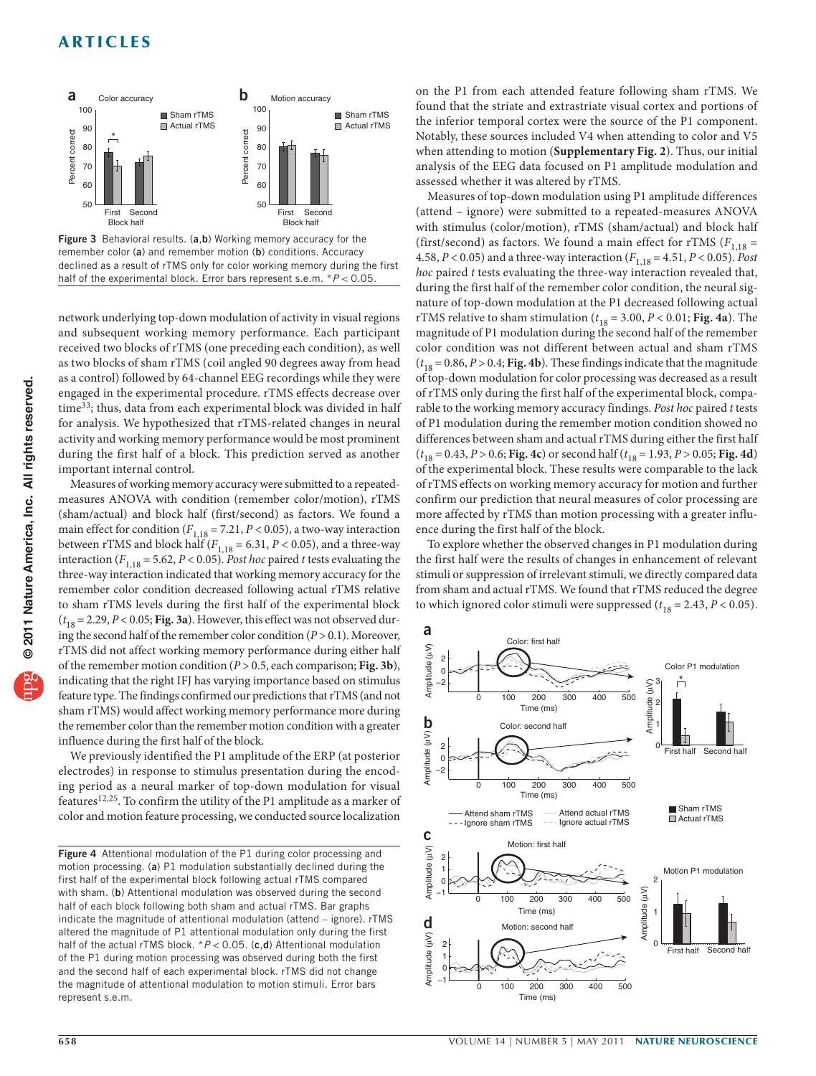### **ARTICLES**



<span id="page-2-0"></span>remember color (a) and remember motion (b) conditions. Accuracy declined as a result of rTMS only for color working memory during the first half of the experimental block. Error bars represent s.e.m. \**P* < 0.05.

network underlying top-down modulation of activity in visual regions and subsequent working memory performance. Each participant received two blocks of rTMS (one preceding each condition), as well as two blocks of sham rTMS (coil angled 90 degrees away from head as a control) followed by 64-channel EEG recordings while they were engaged in the experimental procedure. rTMS effects decrease over time<sup>33</sup>; thus, data from each experimental block was divided in half for analysis. We hypothesized that rTMS-related changes in neural activity and working memory performance would be most prominent during the first half of a block. This prediction served as another important internal control.

Measures of working memory accuracy were submitted to a repeatedmeasures ANOVA with condition (remember color/motion), rTMS (sham/actual) and block half (first/second) as factors. We found a main effect for condition ( $F_{1,18} = 7.21$ ,  $P < 0.05$ ), a two-way interaction between rTMS and block half  $(F_{1,18} = 6.31, P < 0.05)$ , and a three-way interaction  $(F_{1,18} = 5.62, P < 0.05)$ . *Post hoc* paired *t* tests evaluating the three-way interaction indicated that working memory accuracy for the remember color condition decreased following actual rTMS relative to sham rTMS levels during the first half of the experimental block  $(t_{18} = 2.29, P < 0.05;$  **[Fig.](#page-2-0) 3a**). However, this effect was not observed during the second half of the remember color condition (*P* > 0.1). Moreover, rTMS did not affect working memory performance during either half of the remember motion condition (*P* > 0.5, each comparison; **[Fig.](#page-2-0) 3b**), indicating that the right IFJ has varying importance based on stimulus feature type. The findings confirmed our predictions that rTMS (and not sham rTMS) would affect working memory performance more during the remember color than the remember motion condition with a greater influence during the first half of the block.

We previously identified the P1 amplitude of the ERP (at posterior electrodes) in response to stimulus presentation during the encoding period as a neural marker of top-down modulation for visual features12,25. To confirm the utility of the P1 amplitude as a marker of color and motion feature processing, we conducted source localization

on the P1 from each attended feature following sham rTMS. We found that the striate and extrastriate visual cortex and portions of the inferior temporal cortex were the source of the P1 component. Notably, these sources included V4 when attending to color and V5 when attending to motion (**Supplementary Fig. 2**). Thus, our initial analysis of the EEG data focused on P1 amplitude modulation and assessed whether it was altered by rTMS.

Measures of top-down modulation using P1 amplitude differences (attend – ignore) were submitted to a repeated-measures ANOVA with stimulus (color/motion), rTMS (sham/actual) and block half (first/second) as factors. We found a main effect for rTMS  $(F_{1,18} =$ 4.58, *P* < 0.05) and a three-way interaction  $(F_{1,18} = 4.51, P < 0.05)$ . Post *hoc* paired *t* tests evaluating the three-way interaction revealed that, during the first half of the remember color condition, the neural signature of top-down modulation at the P1 decreased following actual rTMS relative to sham stimulation (*t* <sup>18</sup> = 3.00, *P* < 0.01; **[Fig.](#page-2-1) 4a**). The magnitude of P1 modulation during the second half of the remember color condition was not different between actual and sham rTMS  $(t_{18} = 0.86, P > 0.4;$  **[Fig.](#page-2-1) 4b**). These findings indicate that the magnitude of top-down modulation for color processing was decreased as a result of rTMS only during the first half of the experimental block, comparable to the working memory accuracy findings. *Post hoc* paired *t* tests of P1 modulation during the remember motion condition showed no differences between sham and actual rTMS during either the first half (*t* <sup>18</sup> = 0.43, *P* > 0.6; **[Fig.](#page-2-1) 4c**) or second half (*t* <sup>18</sup> = 1.93, *P* > 0.05; **[Fig.](#page-2-1) 4d**) of the experimental block. These results were comparable to the lack of rTMS effects on working memory accuracy for motion and further confirm our prediction that neural measures of color processing are more affected by rTMS than motion processing with a greater influence during the first half of the block.

To explore whether the observed changes in P1 modulation during the first half were the results of changes in enhancement of relevant stimuli or suppression of irrelevant stimuli, we directly compared data from sham and actual rTMS. We found that rTMS reduced the degree to which ignored color stimuli were suppressed ( $t_{18} = 2.43$ ,  $P < 0.05$ ).



<span id="page-2-1"></span>Figure 4 Attentional modulation of the P1 during color processing and motion processing. (a) P1 modulation substantially declined during the first half of the experimental block following actual rTMS compared with sham. (b) Attentional modulation was observed during the second half of each block following both sham and actual rTMS. Bar graphs indicate the magnitude of attentional modulation (attend – ignore). rTMS altered the magnitude of P1 attentional modulation only during the first half of the actual rTMS block. \*  $P$  < 0.05. (c,d) Attentional modulation of the P1 during motion processing was observed during both the first and the second half of each experimental block. rTMS did not change the magnitude of attentional modulation to motion stimuli. Error bars represent s.e.m.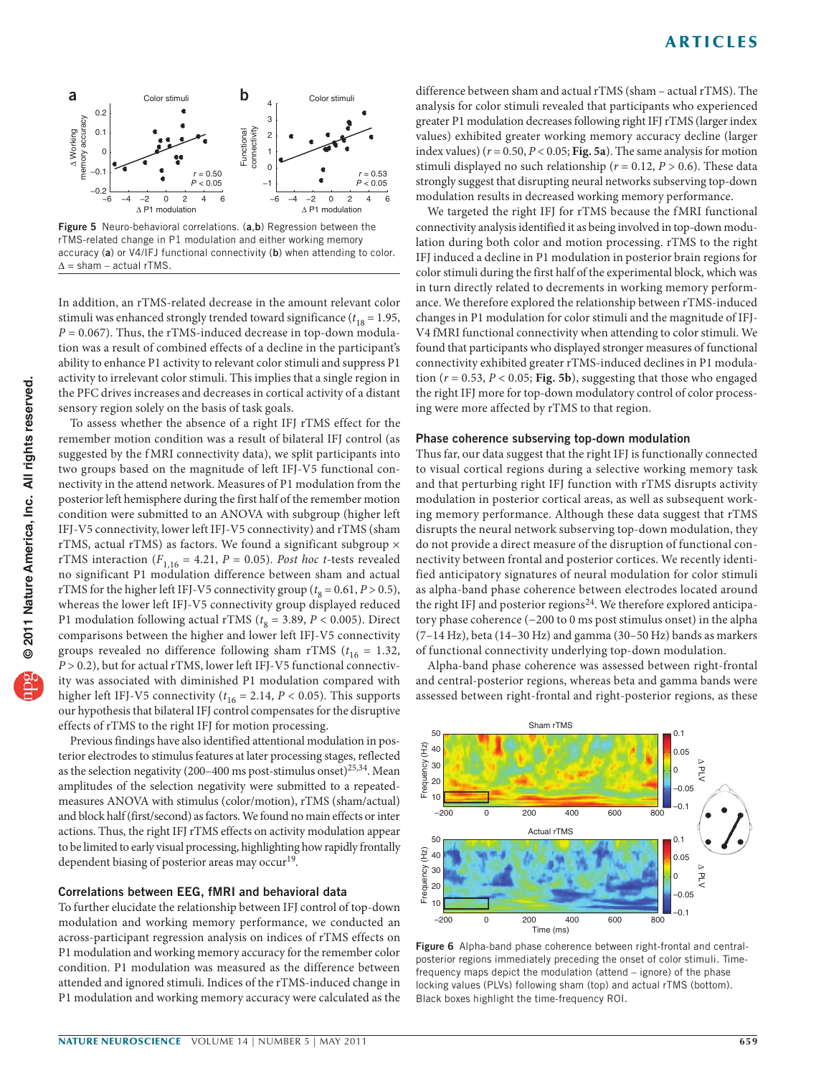

<span id="page-3-0"></span>Figure 5 Neuro-behavioral correlations. (a,b) Regression between the rTMS-related change in P1 modulation and either working memory accuracy (a) or V4/IFJ functional connectivity (b) when attending to color.  $\Delta$  = sham – actual rTMS

In addition, an rTMS-related decrease in the amount relevant color stimuli was enhanced strongly trended toward significance ( $t_{18}$  = 1.95,  $P = 0.067$ ). Thus, the rTMS-induced decrease in top-down modulation was a result of combined effects of a decline in the participant's ability to enhance P1 activity to relevant color stimuli and suppress P1 activity to irrelevant color stimuli. This implies that a single region in the PFC drives increases and decreases in cortical activity of a distant sensory region solely on the basis of task goals.

To assess whether the absence of a right IFJ rTMS effect for the remember motion condition was a result of bilateral IFJ control (as suggested by the fMRI connectivity data), we split participants into two groups based on the magnitude of left IFJ-V5 functional connectivity in the attend network. Measures of P1 modulation from the posterior left hemisphere during the first half of the remember motion condition were submitted to an ANOVA with subgroup (higher left IFJ-V5 connectivity, lower left IFJ-V5 connectivity) and rTMS (sham rTMS, actual rTMS) as factors. We found a significant subgroup × rTMS interaction  $(F_{1,16} = 4.21, P = 0.05)$ . *Post hoc t*-tests revealed no significant P1 modulation difference between sham and actual rTMS for the higher left IFJ-V5 connectivity group ( $t_8$  = 0.61, *P* > 0.5), whereas the lower left IFJ-V5 connectivity group displayed reduced P1 modulation following actual rTMS (*t* <sup>8</sup> = 3.89, *P* < 0.005). Direct comparisons between the higher and lower left IFJ-V5 connectivity groups revealed no difference following sham rTMS (*t* <sup>16</sup> = 1.32, *P* > 0.2), but for actual rTMS, lower left IFJ-V5 functional connectivity was associated with diminished P1 modulation compared with higher left IFJ-V5 connectivity ( $t_{16} = 2.14$ ,  $P < 0.05$ ). This supports our hypothesis that bilateral IFJ control compensates for the disruptive effects of rTMS to the right IFJ for motion processing.

Previous findings have also identified attentional modulation in posterior electrodes to stimulus features at later processing stages, reflected as the selection negativity (200–400 ms post-stimulus onset)<sup>25,34</sup>. Mean amplitudes of the selection negativity were submitted to a repeatedmeasures ANOVA with stimulus (color/motion), rTMS (sham/actual) and block half (first/second) as factors. We found no main effects or inter actions. Thus, the right IFJ rTMS effects on activity modulation appear to be limited to early visual processing, highlighting how rapidly frontally dependent biasing of posterior areas may occur<sup>[19](#page-5-5)</sup>.

### Correlations between EEG, fMRI and behavioral data

To further elucidate the relationship between IFJ control of top-down modulation and working memory performance, we conducted an across-participant regression analysis on indices of rTMS effects on P1 modulation and working memory accuracy for the remember color condition. P1 modulation was measured as the difference between attended and ignored stimuli. Indices of the rTMS-induced change in P1 modulation and working memory accuracy were calculated as the

### **ARTICLES**

difference between sham and actual rTMS (sham – actual rTMS). The analysis for color stimuli revealed that participants who experienced greater P1 modulation decreases following right IFJ rTMS (larger index values) exhibited greater working memory accuracy decline (larger index values)  $(r = 0.50, P < 0.05;$  [Fig.](#page-3-0) 5a). The same analysis for motion stimuli displayed no such relationship ( $r = 0.12$ ,  $P > 0.6$ ). These data strongly suggest that disrupting neural networks subserving top-down modulation results in decreased working memory performance.

We targeted the right IFJ for rTMS because the fMRI functional connectivity analysis identified it as being involved in top-down modulation during both color and motion processing. rTMS to the right IFJ induced a decline in P1 modulation in posterior brain regions for color stimuli during the first half of the experimental block, which was in turn directly related to decrements in working memory performance. We therefore explored the relationship between rTMS-induced changes in P1 modulation for color stimuli and the magnitude of IFJ-V4 fMRI functional connectivity when attending to color stimuli. We found that participants who displayed stronger measures of functional connectivity exhibited greater rTMS-induced declines in P1 modulation  $(r = 0.53, P < 0.05;$  **[Fig.](#page-3-0) 5b**), suggesting that those who engaged the right IFJ more for top-down modulatory control of color processing were more affected by rTMS to that region.

### Phase coherence subserving top-down modulation

Thus far, our data suggest that the right IFJ is functionally connected to visual cortical regions during a selective working memory task and that perturbing right IFJ function with rTMS disrupts activity modulation in posterior cortical areas, as well as subsequent working memory performance. Although these data suggest that rTMS disrupts the neural network subserving top-down modulation, they do not provide a direct measure of the disruption of functional connectivity between frontal and posterior cortices. We recently identified anticipatory signatures of neural modulation for color stimuli as alpha-band phase coherence between electrodes located around the right IFJ and posterior regions<sup>24</sup>. We therefore explored anticipatory phase coherence (−200 to 0 ms post stimulus onset) in the alpha (7–14 Hz), beta (14–30 Hz) and gamma (30–50 Hz) bands as markers of functional connectivity underlying top-down modulation.

Alpha-band phase coherence was assessed between right-frontal and central-posterior regions, whereas beta and gamma bands were assessed between right-frontal and right-posterior regions, as these



<span id="page-3-1"></span>Figure 6 Alpha-band phase coherence between right-frontal and centralposterior regions immediately preceding the onset of color stimuli. Timefrequency maps depict the modulation (attend – ignore) of the phase locking values (PLVs) following sham (top) and actual rTMS (bottom). Black boxes highlight the time-frequency ROI.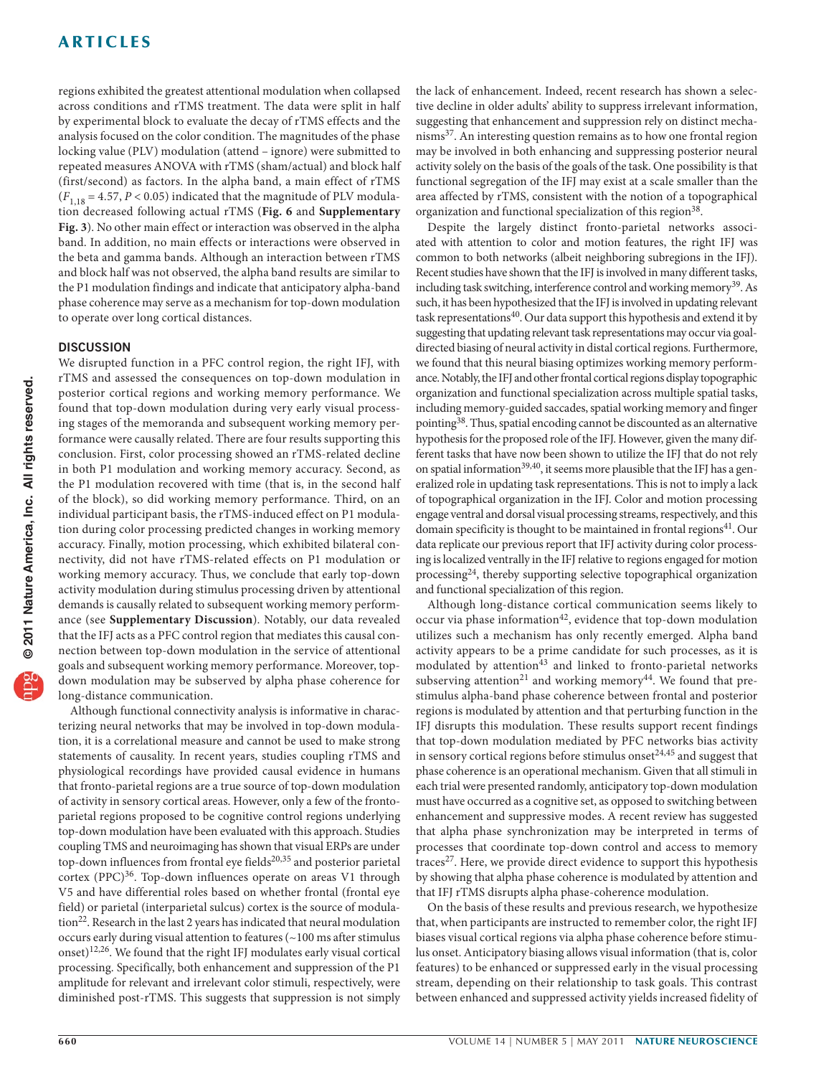## **ARTICLES**

regions exhibited the greatest attentional modulation when collapsed across conditions and rTMS treatment. The data were split in half by experimental block to evaluate the decay of rTMS effects and the analysis focused on the color condition. The magnitudes of the phase locking value (PLV) modulation (attend – ignore) were submitted to repeated measures ANOVA with rTMS (sham/actual) and block half (first/second) as factors. In the alpha band, a main effect of rTMS  $(F<sub>1.18</sub> = 4.57, P < 0.05)$  indicated that the magnitude of PLV modulation decreased following actual rTMS (**[Fig.](#page-3-1) 6** and **Supplementary Fig. 3**). No other main effect or interaction was observed in the alpha band. In addition, no main effects or interactions were observed in the beta and gamma bands. Although an interaction between rTMS and block half was not observed, the alpha band results are similar to the P1 modulation findings and indicate that anticipatory alpha-band phase coherence may serve as a mechanism for top-down modulation to operate over long cortical distances.

### **DISCUSSION**

We disrupted function in a PFC control region, the right IFJ, with rTMS and assessed the consequences on top-down modulation in posterior cortical regions and working memory performance. We found that top-down modulation during very early visual processing stages of the memoranda and subsequent working memory performance were causally related. There are four results supporting this conclusion. First, color processing showed an rTMS-related decline in both P1 modulation and working memory accuracy. Second, as the P1 modulation recovered with time (that is, in the second half of the block), so did working memory performance. Third, on an individual participant basis, the rTMS-induced effect on P1 modulation during color processing predicted changes in working memory accuracy. Finally, motion processing, which exhibited bilateral connectivity, did not have rTMS-related effects on P1 modulation or working memory accuracy. Thus, we conclude that early top-down activity modulation during stimulus processing driven by attentional demands is causally related to subsequent working memory performance (see **Supplementary Discussion**). Notably, our data revealed that the IFJ acts as a PFC control region that mediates this causal connection between top-down modulation in the service of attentional goals and subsequent working memory performance. Moreover, topdown modulation may be subserved by alpha phase coherence for long-distance communication.

Although functional connectivity analysis is informative in characterizing neural networks that may be involved in top-down modulation, it is a correlational measure and cannot be used to make strong statements of causality. In recent years, studies coupling rTMS and physiological recordings have provided causal evidence in humans that fronto-parietal regions are a true source of top-down modulation of activity in sensory cortical areas. However, only a few of the frontoparietal regions proposed to be cognitive control regions underlying top-down modulation have been evaluated with this approach. Studies coupling TMS and neuroimaging has shown that visual ERPs are under top-down influences from frontal eye fields<sup>20,35</sup> and posterior parietal cortex (PPC)<sup>[36](#page-5-13)</sup>. Top-down influences operate on areas V1 through V5 and have differential roles based on whether frontal (frontal eye field) or parietal (interparietal sulcus) cortex is the source of modula-tion<sup>[22](#page-5-14)</sup>. Research in the last 2 years has indicated that neural modulation occurs early during visual attention to features (~100 ms after stimulus onset)12,26. We found that the right IFJ modulates early visual cortical processing. Specifically, both enhancement and suppression of the P1 amplitude for relevant and irrelevant color stimuli, respectively, were diminished post-rTMS. This suggests that suppression is not simply

the lack of enhancement. Indeed, recent research has shown a selective decline in older adults' ability to suppress irrelevant information, suggesting that enhancement and suppression rely on distinct mecha-nisms<sup>[37](#page-5-15)</sup>. An interesting question remains as to how one frontal region may be involved in both enhancing and suppressing posterior neural activity solely on the basis of the goals of the task. One possibility is that functional segregation of the IFJ may exist at a scale smaller than the area affected by rTMS, consistent with the notion of a topographical organization and functional specialization of this region<sup>38</sup>.

Despite the largely distinct fronto-parietal networks associated with attention to color and motion features, the right IFJ was common to both networks (albeit neighboring subregions in the IFJ). Recent studies have shown that the IFJ is involved in many different tasks, including task switching, interference control and working memory<sup>39</sup>. As such, it has been hypothesized that the IFJ is involved in updating relevant task representations<sup>[40](#page-5-18)</sup>. Our data support this hypothesis and extend it by suggesting that updating relevant task representations may occur via goaldirected biasing of neural activity in distal cortical regions. Furthermore, we found that this neural biasing optimizes working memory performance. Notably, the IFJ and other frontal cortical regions display topographic organization and functional specialization across multiple spatial tasks, including memory-guided saccades, spatial working memory and finger pointing<sup>38</sup>. Thus, spatial encoding cannot be discounted as an alternative hypothesis for the proposed role of the IFJ. However, given the many different tasks that have now been shown to utilize the IFJ that do not rely on spatial information<sup>39,40</sup>, it seems more plausible that the IFJ has a generalized role in updating task representations. This is not to imply a lack of topographical organization in the IFJ. Color and motion processing engage ventral and dorsal visual processing streams, respectively, and this domain specificity is thought to be maintained in frontal regions<sup>[41](#page-5-19)</sup>. Our data replicate our previous report that IFJ activity during color processing is localized ventrally in the IFJ relative to regions engaged for motion processin[g24,](#page-5-6) thereby supporting selective topographical organization and functional specialization of this region.

Although long-distance cortical communication seems likely to occur via phase information<sup>42</sup>, evidence that top-down modulation utilizes such a mechanism has only recently emerged. Alpha band activity appears to be a prime candidate for such processes, as it is modulated by attention<sup>43</sup> and linked to fronto-parietal networks subserving attention<sup>21</sup> and working memory<sup>44</sup>. We found that prestimulus alpha-band phase coherence between frontal and posterior regions is modulated by attention and that perturbing function in the IFJ disrupts this modulation. These results support recent findings that top-down modulation mediated by PFC networks bias activity in sensory cortical regions before stimulus onset $24,45$  and suggest that phase coherence is an operational mechanism. Given that all stimuli in each trial were presented randomly, anticipatory top-down modulation must have occurred as a cognitive set, as opposed to switching between enhancement and suppressive modes. A recent review has suggested that alpha phase synchronization may be interpreted in terms of processes that coordinate top-down control and access to memory traces<sup>27</sup>. Here, we provide direct evidence to support this hypothesis by showing that alpha phase coherence is modulated by attention and that IFJ rTMS disrupts alpha phase-coherence modulation.

On the basis of these results and previous research, we hypothesize that, when participants are instructed to remember color, the right IFJ biases visual cortical regions via alpha phase coherence before stimulus onset. Anticipatory biasing allows visual information (that is, color features) to be enhanced or suppressed early in the visual processing stream, depending on their relationship to task goals. This contrast between enhanced and suppressed activity yields increased fidelity of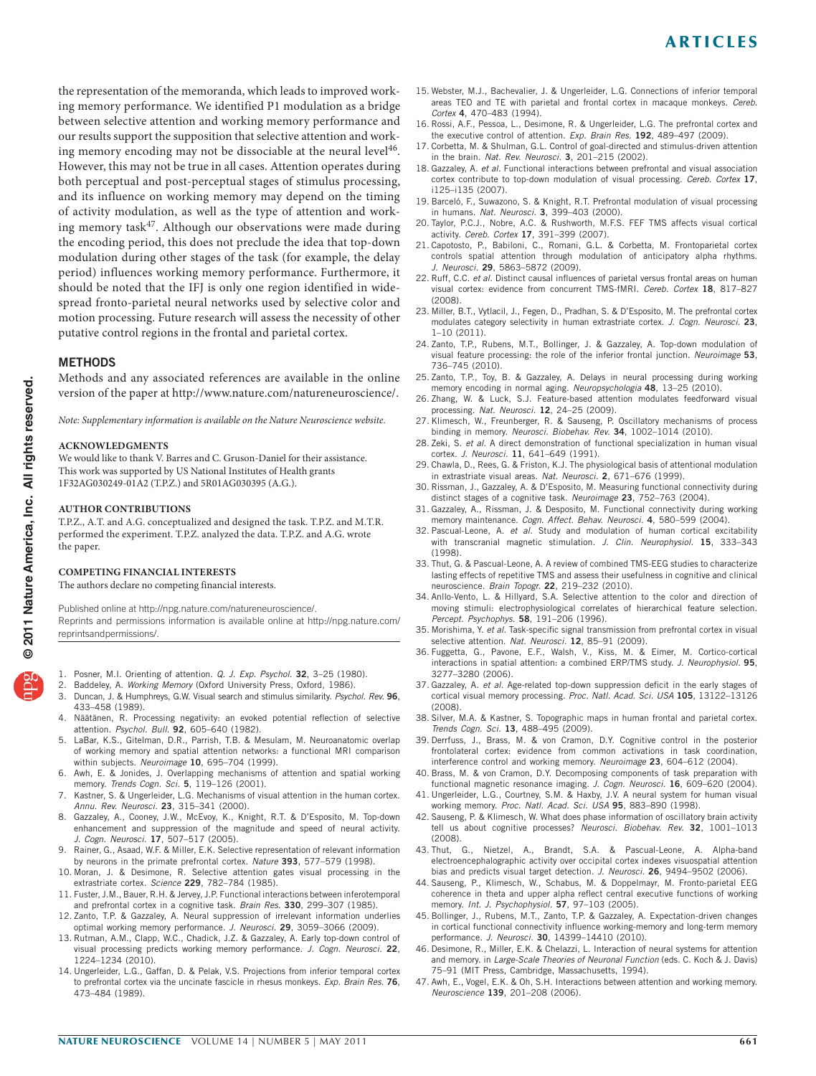the representation of the memoranda, which leads to improved working memory performance. We identified P1 modulation as a bridge between selective attention and working memory performance and our results support the supposition that selective attention and work-ing memory encoding may not be dissociable at the neural level<sup>[46](#page-5-24)</sup>. However, this may not be true in all cases. Attention operates during both perceptual and post-perceptual stages of stimulus processing, and its influence on working memory may depend on the timing of activity modulation, as well as the type of attention and working memory task[47](#page-5-25). Although our observations were made during the encoding period, this does not preclude the idea that top-down modulation during other stages of the task (for example, the delay period) influences working memory performance. Furthermore, it should be noted that the IFJ is only one region identified in widespread fronto-parietal neural networks used by selective color and motion processing. Future research will assess the necessity of other putative control regions in the frontal and parietal cortex.

### **METHODS**

Methods and any associated references are available in the online version of the paper at http://www.nature.com/natureneuroscience/.

*Note: Supplementary information is available on the Nature [Neuroscience](http://www.nature.com/natureneuroscience/) website.*

#### **Acknowledgments**

We would like to thank V. Barres and C. Gruson-Daniel for their assistance. This work was supported by US National Institutes of Health grants 1F32AG030249-01A2 (T.P.Z.) and 5R01AG030395 (A.G.).

#### **AUTHOR CONTRIBUTIONS**

T.P.Z., A.T. and A.G. conceptualized and designed the task. T.P.Z. and M.T.R. performed the experiment. T.P.Z. analyzed the data. T.P.Z. and A.G. wrote the paper.

#### **COMPETING FINANCIAL INTERESTS**

The authors declare no competing financial interests.

Published online at http://npg.nature.com/natureneuroscience/. Reprints and permissions information is available online at http://npg.nature.com/ reprintsandpermissions/.

- <span id="page-5-0"></span>1. Posner, M.I. Orienting of attention. *Q. J. Exp. Psychol.* 32, 3–25 (1980).
- <span id="page-5-1"></span>2. Baddeley, A. *Working Memory* (Oxford University Press, Oxford, 1986).
- <span id="page-5-2"></span>3. Duncan, J. & Humphreys, G.W. Visual search and stimulus similarity. *Psychol. Rev.* 96, 433–458 (1989).
- <span id="page-5-3"></span>4. Näätänen, R. Processing negativity: an evoked potential reflection of selective attention. *Psychol. Bull.* 92, 605–640 (1982).
- 5. LaBar, K.S., Gitelman, D.R., Parrish, T.B. & Mesulam, M. Neuroanatomic overlap of working memory and spatial attention networks: a functional MRI comparison within subjects. *Neuroimage* 10, 695–704 (1999).
- 6. Awh, E. & Jonides, J. Overlapping mechanisms of attention and spatial working memory. *Trends Cogn. Sci.* 5, 119–126 (2001).
- Kastner, S. & Ungerleider, L.G. Mechanisms of visual attention in the human cortex. *Annu. Rev. Neurosci.* 23, 315–341 (2000).
- 8. Gazzaley, A., Cooney, J.W., McEvoy, K., Knight, R.T. & D'Esposito, M. Top-down enhancement and suppression of the magnitude and speed of neural activity. *J. Cogn. Neurosci.* 17, 507–517 (2005).
- 9. Rainer, G., Asaad, W.F. & Miller, E.K. Selective representation of relevant information by neurons in the primate prefrontal cortex. *Nature* 393, 577–579 (1998). 10. Moran, J. & Desimone, R. Selective attention gates visual processing in the
- extrastriate cortex. *Science* 229, 782–784 (1985). 11. Fuster, J.M., Bauer, R.H. & Jervey, J.P. Functional interactions between inferotemporal
- and prefrontal cortex in a cognitive task. *Brain Res.* 330, 299–307 (1985). 12. Zanto, T.P. & Gazzaley, A. Neural suppression of irrelevant information underlies
- <span id="page-5-7"></span>optimal working memory performance. *J. Neurosci.* 29, 3059–3066 (2009).
- <span id="page-5-26"></span>13. Rutman, A.M., Clapp, W.C., Chadick, J.Z. & Gazzaley, A. Early top-down control of visual processing predicts working memory performance. *J. Cogn. Neurosci.* 22, 1224–1234 (2010).
- 14. Ungerleider, L.G., Gaffan, D. & Pelak, V.S. Projections from inferior temporal cortex to prefrontal cortex via the uncinate fascicle in rhesus monkeys. *Exp. Brain Res.* 76, 473–484 (1989).
- 15. Webster, M.J., Bachevalier, J. & Ungerleider, L.G. Connections of inferior temporal areas TEO and TE with parietal and frontal cortex in macaque monkeys. *Cereb. Cortex* 4, 470–483 (1994).
- 16. Rossi, A.F., Pessoa, L., Desimone, R. & Ungerleider, L.G. The prefrontal cortex and the executive control of attention. *Exp. Brain Res.* 192, 489–497 (2009).
- 17. Corbetta, M. & Shulman, G.L. Control of goal-directed and stimulus-driven attention in the brain. *Nat. Rev. Neurosci.* 3, 201–215 (2002).
- <span id="page-5-4"></span>18. Gazzaley, A. *et al.* Functional interactions between prefrontal and visual association cortex contribute to top-down modulation of visual processing. *Cereb. Cortex* 17, i125–i135 (2007).
- <span id="page-5-5"></span>19. Barceló, F., Suwazono, S. & Knight, R.T. Prefrontal modulation of visual processing in humans. *Nat. Neurosci.* 3, 399–403 (2000).
- 20. Taylor, P.C.J., Nobre, A.C. & Rushworth, M.F.S. FEF TMS affects visual cortical activity. *Cereb. Cortex* 17, 391–399 (2007).
- <span id="page-5-22"></span>21. Capotosto, P., Babiloni, C., Romani, G.L. & Corbetta, M. Frontoparietal cortex controls spatial attention through modulation of anticipatory alpha rhythms. *J. Neurosci.* 29, 5863–5872 (2009).
- <span id="page-5-14"></span>22. Ruff, C.C. *et al.* Distinct causal influences of parietal versus frontal areas on human visual cortex: evidence from concurrent TMS-fMRI. *Cereb. Cortex* 18, 817–827 (2008).
- 23. Miller, B.T., Vytlacil, J., Fegen, D., Pradhan, S. & D'Esposito, M. The prefrontal cortex modulates category selectivity in human extrastriate cortex. *J. Cogn. Neurosci.* 23, 1–10 (2011).
- <span id="page-5-6"></span>24. Zanto, T.P., Rubens, M.T., Bollinger, J. & Gazzaley, A. Top-down modulation of visual feature processing: the role of the inferior frontal junction. *Neuroimage* 53, 736–745 (2010).
- 25. Zanto, T.P., Toy, B. & Gazzaley, A. Delays in neural processing during working memory encoding in normal aging. *Neuropsychologia* 48, 13–25 (2010).
- 26. Zhang, W. & Luck, S.J. Feature-based attention modulates feedforward visual processing. *Nat. Neurosci.* 12, 24–25 (2009).
- <span id="page-5-8"></span>27. Klimesch, W., Freunberger, R. & Sauseng, P. Oscillatory mechanisms of process binding in memory. *Neurosci. Biobehav. Rev.* 34, 1002–1014 (2010).
- <span id="page-5-9"></span>28. Zeki, S. *et al.* A direct demonstration of functional specialization in human visual cortex. *J. Neurosci.* 11, 641–649 (1991).
- <span id="page-5-10"></span>29. Chawla, D., Rees, G. & Friston, K.J. The physiological basis of attentional modulation in extrastriate visual areas. *Nat. Neurosci.* 2, 671–676 (1999).
- 30. Rissman, J., Gazzaley, A. & D'Esposito, M. Measuring functional connectivity during distinct stages of a cognitive task. *Neuroimage* 23, 752–763 (2004).
- 31. Gazzaley, A., Rissman, J. & Desposito, M. Functional connectivity during working memory maintenance. *Cogn. Affect. Behav. Neurosci.* 4, 580–599 (2004).
- <span id="page-5-11"></span>32. Pascual-Leone, A. *et al.* Study and modulation of human cortical excitability with transcranial magnetic stimulation. *J. Clin. Neurophysiol.* 15, 333–343 (1998).
- <span id="page-5-12"></span>33. Thut, G. & Pascual-Leone, A. A review of combined TMS-EEG studies to characterize lasting effects of repetitive TMS and assess their usefulness in cognitive and clinical neuroscience. *Brain Topogr.* 22, 219–232 (2010).
- 34. Anllo-Vento, L. & Hillyard, S.A. Selective attention to the color and direction of moving stimuli: electrophysiological correlates of hierarchical feature selection. *Percept. Psychophys.* 58, 191–206 (1996).
- 35. Morishima, Y. *et al.* Task-specific signal transmission from prefrontal cortex in visual selective attention. *Nat. Neurosci.* 12, 85–91 (2009).
- <span id="page-5-13"></span>36. Fuggetta, G., Pavone, E.F., Walsh, V., Kiss, M. & Eimer, M. Cortico-cortical interactions in spatial attention: a combined ERP/TMS study. *J. Neurophysiol.* 95, 3277–3280 (2006).
- <span id="page-5-15"></span>37. Gazzaley, A. *et al.* Age-related top-down suppression deficit in the early stages of cortical visual memory processing. *Proc. Natl. Acad. Sci. USA* 105, 13122–13126 (2008).
- <span id="page-5-16"></span>38. Silver, M.A. & Kastner, S. Topographic maps in human frontal and parietal cortex. *Trends Cogn. Sci.* 13, 488–495 (2009).
- <span id="page-5-17"></span>39. Derrfuss, J., Brass, M. & von Cramon, D.Y. Cognitive control in the posterior frontolateral cortex: evidence from common activations in task coordination, interference control and working memory. *Neuroimage* 23, 604–612 (2004).
- <span id="page-5-18"></span>40. Brass, M. & von Cramon, D.Y. Decomposing components of task preparation with functional magnetic resonance imaging. *J. Cogn. Neurosci.* 16, 609–620 (2004).
- <span id="page-5-19"></span>41. Ungerleider, L.G., Courtney, S.M. & Haxby, J.V. A neural system for human visual working memory. *Proc. Natl. Acad. Sci. USA* 95, 883–890 (1998).
- <span id="page-5-20"></span>42. Sauseng, P. & Klimesch, W. What does phase information of oscillatory brain activity tell us about cognitive processes? *Neurosci. Biobehav. Rev.* 32, 1001–1013 (2008).
- <span id="page-5-21"></span>43. Thut, G., Nietzel, A., Brandt, S.A. & Pascual-Leone, A. Alpha-band electroencephalographic activity over occipital cortex indexes visuospatial attention bias and predicts visual target detection. *J. Neurosci.* 26, 9494–9502 (2006).
- <span id="page-5-23"></span>44. Sauseng, P., Klimesch, W., Schabus, M. & Doppelmayr, M. Fronto-parietal EEG coherence in theta and upper alpha reflect central executive functions of working memory. *Int. J. Psychophysiol.* 57, 97–103 (2005).
- 45. Bollinger, J., Rubens, M.T., Zanto, T.P. & Gazzaley, A. Expectation-driven changes in cortical functional connectivity influence working-memory and long-term memory performance. *J. Neurosci.* 30, 14399–14410 (2010).
- <span id="page-5-24"></span>46. Desimone, R., Miller, E.K. & Chelazzi, L. Interaction of neural systems for attention and memory. in *Large-Scale Theories of Neuronal Function* (eds. C. Koch & J. Davis) 75–91 (MIT Press, Cambridge, Massachusetts, 1994).
- <span id="page-5-25"></span>47. Awh, E., Vogel, E.K. & Oh, S.H. Interactions between attention and working memory. *Neuroscience* 139, 201–208 (2006).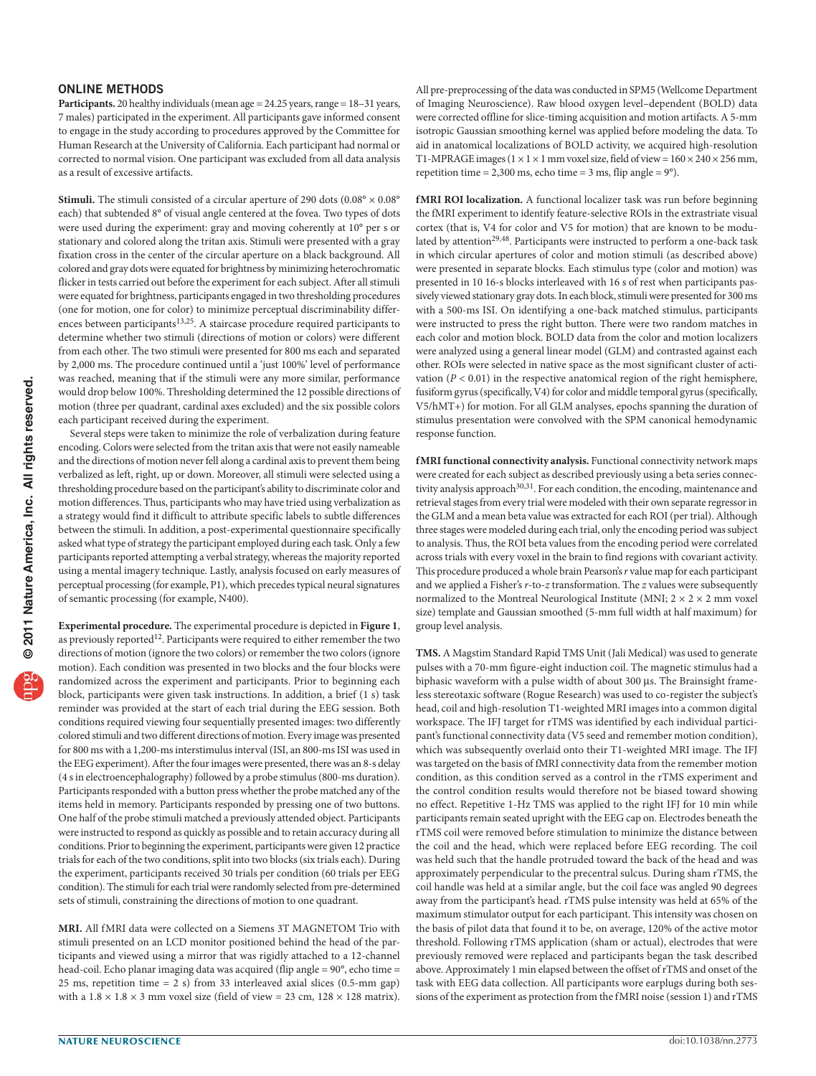### ONLINE METHODS

**Participants.** 20 healthy individuals (mean age = 24.25 years, range = 18–31 years, 7 males) participated in the experiment. All participants gave informed consent to engage in the study according to procedures approved by the Committee for Human Research at the University of California. Each participant had normal or corrected to normal vision. One participant was excluded from all data analysis as a result of excessive artifacts.

**Stimuli.** The stimuli consisted of a circular aperture of 290 dots ( $0.08^\circ \times 0.08^\circ$ each) that subtended 8° of visual angle centered at the fovea. Two types of dots were used during the experiment: gray and moving coherently at 10° per s or stationary and colored along the tritan axis. Stimuli were presented with a gray fixation cross in the center of the circular aperture on a black background. All colored and gray dots were equated for brightness by minimizing heterochromatic flicker in tests carried out before the experiment for each subject. After all stimuli were equated for brightness, participants engaged in two thresholding procedures (one for motion, one for color) to minimize perceptual discriminability differences between participants $13,25$ . A staircase procedure required participants to determine whether two stimuli (directions of motion or colors) were different from each other. The two stimuli were presented for 800 ms each and separated by 2,000 ms. The procedure continued until a 'just 100%' level of performance was reached, meaning that if the stimuli were any more similar, performance would drop below 100%. Thresholding determined the 12 possible directions of motion (three per quadrant, cardinal axes excluded) and the six possible colors each participant received during the experiment.

Several steps were taken to minimize the role of verbalization during feature encoding. Colors were selected from the tritan axis that were not easily nameable and the directions of motion never fell along a cardinal axis to prevent them being verbalized as left, right, up or down. Moreover, all stimuli were selected using a thresholding procedure based on the participant's ability to discriminate color and motion differences. Thus, participants who may have tried using verbalization as a strategy would find it difficult to attribute specific labels to subtle differences between the stimuli. In addition, a post-experimental questionnaire specifically asked what type of strategy the participant employed during each task. Only a few participants reported attempting a verbal strategy, whereas the majority reported using a mental imagery technique. Lastly, analysis focused on early measures of perceptual processing (for example, P1), which precedes typical neural signatures of semantic processing (for example, N400).

**Experimental procedure.** The experimental procedure is depicted in **[Figure](#page-1-0) 1**, as previously reported  $^{12}$  . Participants were required to either remember the two directions of motion (ignore the two colors) or remember the two colors (ignore motion). Each condition was presented in two blocks and the four blocks were randomized across the experiment and participants. Prior to beginning each block, participants were given task instructions. In addition, a brief (1 s) task reminder was provided at the start of each trial during the EEG session. Both conditions required viewing four sequentially presented images: two differently colored stimuli and two different directions of motion. Every image was presented for 800 ms with a 1,200-ms interstimulus interval (ISI, an 800-ms ISI was used in the EEG experiment). After the four images were presented, there was an 8-s delay (4 s in electroencephalography) followed by a probe stimulus (800-ms duration). Participants responded with a button press whether the probe matched any of the items held in memory. Participants responded by pressing one of two buttons. One half of the probe stimuli matched a previously attended object. Participants were instructed to respond as quickly as possible and to retain accuracy during all conditions. Prior to beginning the experiment, participants were given 12 practice trials for each of the two conditions, split into two blocks (six trials each). During the experiment, participants received 30 trials per condition (60 trials per EEG condition). The stimuli for each trial were randomly selected from pre-determined sets of stimuli, constraining the directions of motion to one quadrant.

**MRI.** All fMRI data were collected on a Siemens 3T MAGNETOM Trio with stimuli presented on an LCD monitor positioned behind the head of the participants and viewed using a mirror that was rigidly attached to a 12-channel head-coil. Echo planar imaging data was acquired (flip angle = 90°, echo time = 25 ms, repetition time = 2 s) from 33 interleaved axial slices (0.5-mm gap) with a  $1.8 \times 1.8 \times 3$  mm voxel size (field of view = 23 cm,  $128 \times 128$  matrix).

All pre-preprocessing of the data was conducted in SPM5 (Wellcome Department of Imaging Neuroscience). Raw blood oxygen level–dependent (BOLD) data were corrected offline for slice-timing acquisition and motion artifacts. A 5-mm isotropic Gaussian smoothing kernel was applied before modeling the data. To aid in anatomical localizations of BOLD activity, we acquired high-resolution T1-MPRAGE images ( $1 \times 1 \times 1$  mm voxel size, field of view =  $160 \times 240 \times 256$  mm, repetition time = 2,300 ms, echo time = 3 ms, flip angle =  $9^{\circ}$ ).

**fMRI ROI localization.** A functional localizer task was run before beginning the fMRI experiment to identify feature-selective ROIs in the extrastriate visual cortex (that is, V4 for color and V5 for motion) that are known to be modulated by attention<sup>29,48</sup>. Participants were instructed to perform a one-back task in which circular apertures of color and motion stimuli (as described above) were presented in separate blocks. Each stimulus type (color and motion) was presented in 10 16-s blocks interleaved with 16 s of rest when participants passively viewed stationary gray dots. In each block, stimuli were presented for 300 ms with a 500-ms ISI. On identifying a one-back matched stimulus, participants were instructed to press the right button. There were two random matches in each color and motion block. BOLD data from the color and motion localizers were analyzed using a general linear model (GLM) and contrasted against each other. ROIs were selected in native space as the most significant cluster of activation  $(P < 0.01)$  in the respective anatomical region of the right hemisphere, fusiform gyrus (specifically, V4) for color and middle temporal gyrus (specifically, V5/hMT+) for motion. For all GLM analyses, epochs spanning the duration of stimulus presentation were convolved with the SPM canonical hemodynamic response function.

**fMRIfunctional connectivity analysis.** Functional connectivity network maps were created for each subject as described previously using a beta series connectivity analysis approach<sup>30,31</sup>. For each condition, the encoding, maintenance and retrieval stages from every trial were modeled with their own separate regressor in the GLM and a mean beta value was extracted for each ROI (per trial). Although three stages were modeled during each trial, only the encoding period was subject to analysis. Thus, the ROI beta values from the encoding period were correlated across trials with every voxel in the brain to find regions with covariant activity. This procedure produced a whole brain Pearson's *r* value map for each participant and we applied a Fisher's *r*-to-*z* transformation. The *z* values were subsequently normalized to the Montreal Neurological Institute (MNI;  $2 \times 2 \times 2$  mm voxel size) template and Gaussian smoothed (5-mm full width at half maximum) for group level analysis.

**TMS.** A Magstim Standard Rapid TMS Unit (Jali Medical) was used to generate pulses with a 70-mm figure-eight induction coil. The magnetic stimulus had a biphasic waveform with a pulse width of about 300 µs. The Brainsight frameless stereotaxic software (Rogue Research) was used to co-register the subject's head, coil and high-resolution T1-weighted MRI images into a common digital workspace. The IFJ target for rTMS was identified by each individual participant's functional connectivity data (V5 seed and remember motion condition), which was subsequently overlaid onto their T1-weighted MRI image. The IFJ was targeted on the basis of fMRI connectivity data from the remember motion condition, as this condition served as a control in the rTMS experiment and the control condition results would therefore not be biased toward showing no effect. Repetitive 1-Hz TMS was applied to the right IFJ for 10 min while participants remain seated upright with the EEG cap on. Electrodes beneath the rTMS coil were removed before stimulation to minimize the distance between the coil and the head, which were replaced before EEG recording. The coil was held such that the handle protruded toward the back of the head and was approximately perpendicular to the precentral sulcus. During sham rTMS, the coil handle was held at a similar angle, but the coil face was angled 90 degrees away from the participant's head. rTMS pulse intensity was held at 65% of the maximum stimulator output for each participant. This intensity was chosen on the basis of pilot data that found it to be, on average, 120% of the active motor threshold. Following rTMS application (sham or actual), electrodes that were previously removed were replaced and participants began the task described above. Approximately 1 min elapsed between the offset of rTMS and onset of the task with EEG data collection. All participants wore earplugs during both sessions of the experiment as protection from the fMRI noise (session 1) and rTMS